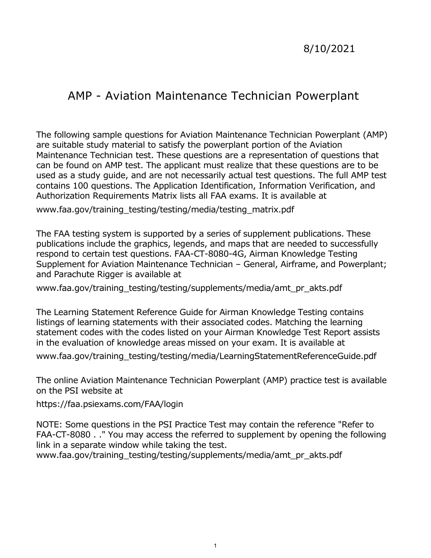## 8/10/2021

# AMP - Aviation Maintenance Technician Powerplant

 The following sample questions for Aviation Maintenance Technician Powerplant (AMP) are suitable study material to satisfy the powerplant portion of the Aviation Maintenance Technician test. These questions are a representation of questions that can be found on AMP test. The applicant must realize that these questions are to be used as a study guide, and are not necessarily actual test questions. The full AMP test contains 100 questions. The Application Identification, Information Verification, and Authorization Requirements Matrix lists all FAA exams. It is available at

[www.faa.gov/training\\_testing/testing/media/testing\\_matrix.pdf](www.faa.gov/training_testing/testing/media/testing_matrix.pdf)

 The FAA testing system is supported by a series of supplement publications. These respond to certain test questions. FAA-CT-8080-4G, Airman Knowledge Testing publications include the graphics, legends, and maps that are needed to successfully Supplement for Aviation Maintenance Technician – General, Airframe, and Powerplant; and Parachute Rigger is available at

www.faa.gov/training testing/testing/supplements/media/amt pr akts.pdf

 The Learning Statement Reference Guide for Airman Knowledge Testing contains listings of learning statements with their associated codes. Matching the learning statement codes with the codes listed on your Airman Knowledge Test Report assists in the evaluation of knowledge areas missed on your exam. It is available at

[www.faa.gov/training\\_testing/testing/media/LearningStatementReferenceGuide.pdf](www.faa.gov/training_testing/testing/media/LearningStatementReferenceGuide.pdf)

 The online Aviation Maintenance Technician Powerplant (AMP) practice test is available on the PSI website at

<https://faa.psiexams.com/FAA/login>

NOTE: Some questions in the PSI Practice Test may contain the reference "Refer to FAA-CT-8080 . ." You may access the referred to supplement by opening the following link in a separate window while taking the test.

[www.faa.gov/training\\_testing/testing/supplements/media/amt\\_pr\\_akts.pdf](www.faa.gov/training_testing/testing/supplements/media/amt_pr_akts.pdf)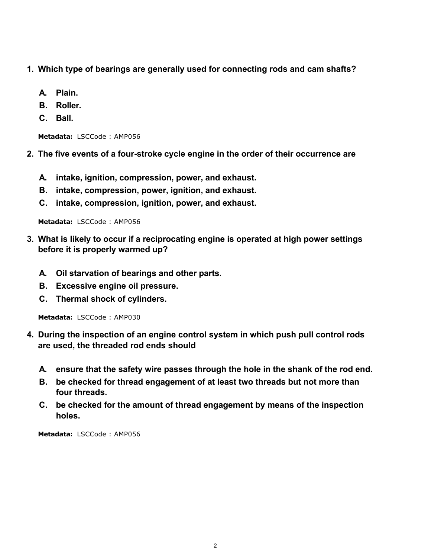- **1. Which type of bearings are generally used for connecting rods and cam shafts?**
	- **A. Plain.**
	- **B. Roller.**
	- **C. Ball.**

**2. The five events of a four-stroke cycle engine in the order of their occurrence are**

- **A. intake, ignition, compression, power, and exhaust.**
- **B. intake, compression, power, ignition, and exhaust.**
- **C. intake, compression, ignition, power, and exhaust.**

**Metadata:** LSCCode : AMP056

- **3. What is likely to occur if a reciprocating engine is operated at high power settings before it is properly warmed up?**
	- **A. Oil starvation of bearings and other parts.**
	- **B. Excessive engine oil pressure.**
	- **C. Thermal shock of cylinders.**

**Metadata:** LSCCode : AMP030

- **4. During the inspection of an engine control system in which push pull control rods are used, the threaded rod ends should**
	- **A. ensure that the safety wire passes through the hole in the shank of the rod end.**
	- **B. be checked for thread engagement of at least two threads but not more than four threads.**
	- **C. be checked for the amount of thread engagement by means of the inspection holes.**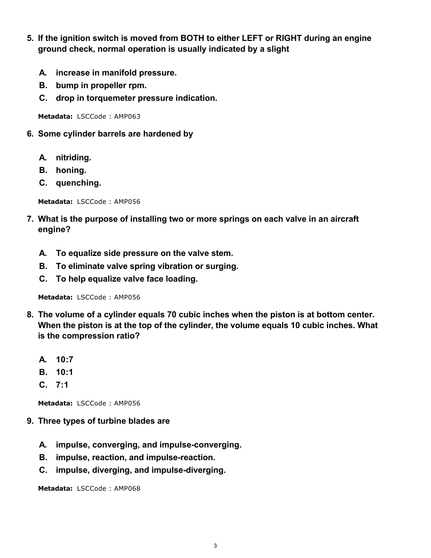- **5. If the ignition switch is moved from BOTH to either LEFT or RIGHT during an engine ground check, normal operation is usually indicated by a slight**
	- **A. increase in manifold pressure.**
	- **B. bump in propeller rpm.**
	- **C. drop in torquemeter pressure indication.**

- **6. Some cylinder barrels are hardened by**
	- **A. nitriding.**
	- **B. honing.**
	- **C. quenching.**

**Metadata:** LSCCode : AMP056

- **7. What is the purpose of installing two or more springs on each valve in an aircraft engine?**
	- **A. To equalize side pressure on the valve stem.**
	- **B. To eliminate valve spring vibration or surging.**
	- **C. To help equalize valve face loading.**

**Metadata:** LSCCode : AMP056

- **8. The volume of a cylinder equals 70 cubic inches when the piston is at bottom center. When the piston is at the top of the cylinder, the volume equals 10 cubic inches. What is the compression ratio?**
	- **A. 10:7**
	- **B. 10:1**
	- **C. 7:1**

**Metadata:** LSCCode : AMP056

- **9. Three types of turbine blades are**
	- **A. impulse, converging, and impulse-converging.**
	- **B. impulse, reaction, and impulse-reaction.**
	- **C. impulse, diverging, and impulse-diverging.**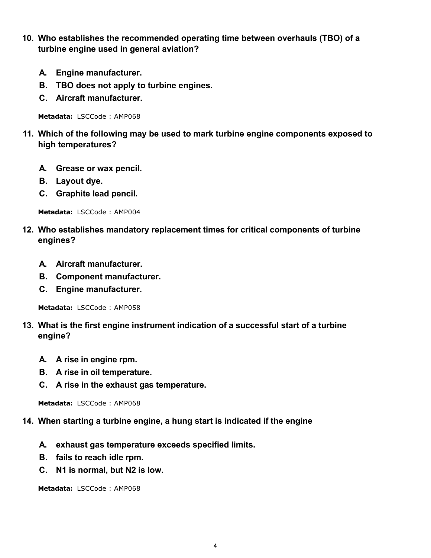- **10. Who establishes the recommended operating time between overhauls (TBO) of a turbine engine used in general aviation?**
	- **A. Engine manufacturer.**
	- **B. TBO does not apply to turbine engines.**
	- **C. Aircraft manufacturer.**

- **11. Which of the following may be used to mark turbine engine components exposed to high temperatures?**
	- **A. Grease or wax pencil.**
	- **B. Layout dye.**
	- **C. Graphite lead pencil.**

**Metadata:** LSCCode : AMP004

- **12. Who establishes mandatory replacement times for critical components of turbine engines?**
	- **A. Aircraft manufacturer.**
	- **B. Component manufacturer.**
	- **C. Engine manufacturer.**

**Metadata:** LSCCode : AMP058

- **13. What is the first engine instrument indication of a successful start of a turbine engine?**
	- **A. A rise in engine rpm.**
	- **B. A rise in oil temperature.**
	- **C. A rise in the exhaust gas temperature.**

**Metadata:** LSCCode : AMP068

- **14. When starting a turbine engine, a hung start is indicated if the engine**
	- **A. exhaust gas temperature exceeds specified limits.**
	- **B. fails to reach idle rpm.**
	- **C. N1 is normal, but N2 is low.**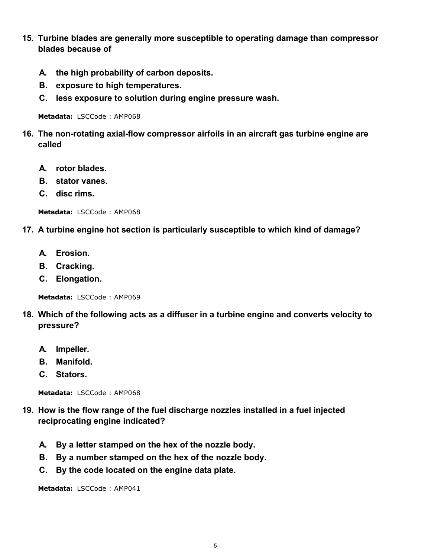- **15. Turbine blades are generally more susceptible to operating damage than compressor blades because of**
	- **A. the high probability of carbon deposits.**
	- **B. exposure to high temperatures.**
	- **C. less exposure to solution during engine pressure wash.**

- **16. The non-rotating axial-flow compressor airfoils in an aircraft gas turbine engine are called**
	- **A. rotor blades.**
	- **B. stator vanes.**
	- **C. disc rims.**

**Metadata:** LSCCode : AMP068

#### **17. A turbine engine hot section is particularly susceptible to which kind of damage?**

- **A. Erosion.**
- **B. Cracking.**
- **C. Elongation.**

**Metadata:** LSCCode : AMP069

- **18. Which of the following acts as a diffuser in a turbine engine and converts velocity to pressure?**
	- **A. Impeller.**
	- **B. Manifold.**
	- **C. Stators.**

**Metadata:** LSCCode : AMP068

- **19. How is the flow range of the fuel discharge nozzles installed in a fuel injected reciprocating engine indicated?**
	- **A. By a letter stamped on the hex of the nozzle body.**
	- **B. By a number stamped on the hex of the nozzle body.**
	- **C. By the code located on the engine data plate.**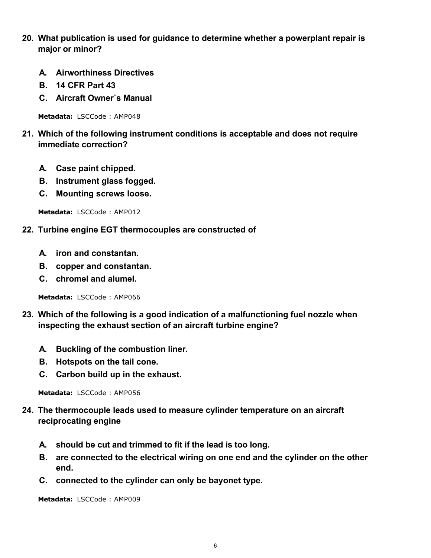- **20. What publication is used for guidance to determine whether a powerplant repair is major or minor?**
	- **A. Airworthiness Directives**
	- **B. 14 CFR Part 43**
	- **C. Aircraft Owner`s Manual**

- **21. Which of the following instrument conditions is acceptable and does not require immediate correction?**
	- **A. Case paint chipped.**
	- **B. Instrument glass fogged.**
	- **C. Mounting screws loose.**

**Metadata:** LSCCode : AMP012

#### **22. Turbine engine EGT thermocouples are constructed of**

- **A. iron and constantan.**
- **B. copper and constantan.**
- **C. chromel and alumel.**

**Metadata:** LSCCode : AMP066

- **23. Which of the following is a good indication of a malfunctioning fuel nozzle when inspecting the exhaust section of an aircraft turbine engine?**
	- **A. Buckling of the combustion liner.**
	- **B. Hotspots on the tail cone.**
	- **C. Carbon build up in the exhaust.**

**Metadata:** LSCCode : AMP056

- **24. The thermocouple leads used to measure cylinder temperature on an aircraft reciprocating engine**
	- **A. should be cut and trimmed to fit if the lead is too long.**
	- **B. are connected to the electrical wiring on one end and the cylinder on the other end.**
	- **C. connected to the cylinder can only be bayonet type.**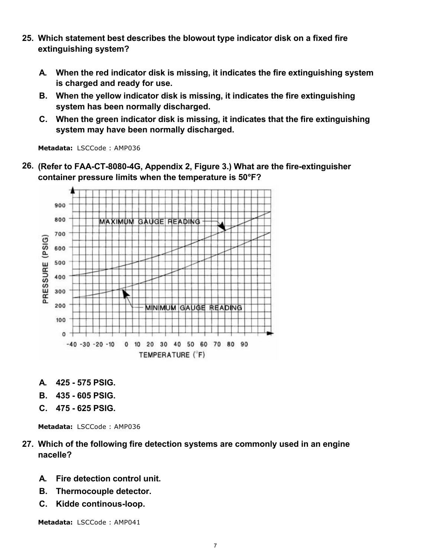- **25. Which statement best describes the blowout type indicator disk on a fixed fire extinguishing system?**
	- **A. When the red indicator disk is missing, it indicates the fire extinguishing system is charged and ready for use.**
	- **B. When the yellow indicator disk is missing, it indicates the fire extinguishing system has been normally discharged.**
	- **C. When the green indicator disk is missing, it indicates that the fire extinguishing system may have been normally discharged.**

**26. (Refer to FAA-CT-8080-4G, Appendix 2, Figure 3.) What are the fire-extinguisher container pressure limits when the temperature is 50°F?**



- **A. 425 575 PSIG.**
- **B. 435 605 PSIG.**
- **C. 475 625 PSIG.**

**Metadata:** LSCCode : AMP036

- **27. Which of the following fire detection systems are commonly used in an engine nacelle?**
	- **A. Fire detection control unit.**
	- **B. Thermocouple detector.**
	- **C. Kidde continous-loop.**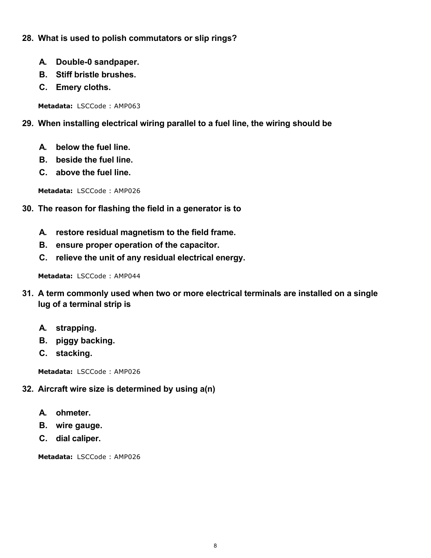- **28. What is used to polish commutators or slip rings?**
	- **A. Double-0 sandpaper.**
	- **B. Stiff bristle brushes.**
	- **C. Emery cloths.**

## **29. When installing electrical wiring parallel to a fuel line, the wiring should be**

- **A. below the fuel line.**
- **B. beside the fuel line.**
- **C. above the fuel line.**

**Metadata:** LSCCode : AMP026

- **30. The reason for flashing the field in a generator is to**
	- **A. restore residual magnetism to the field frame.**
	- **B. ensure proper operation of the capacitor.**
	- **C. relieve the unit of any residual electrical energy.**

**Metadata:** LSCCode : AMP044

- **31. A term commonly used when two or more electrical terminals are installed on a single lug of a terminal strip is**
	- **A. strapping.**
	- **B. piggy backing.**
	- **C. stacking.**

**Metadata:** LSCCode : AMP026

## **32. Aircraft wire size is determined by using a(n)**

- **A. ohmeter.**
- **B. wire gauge.**
- **C. dial caliper.**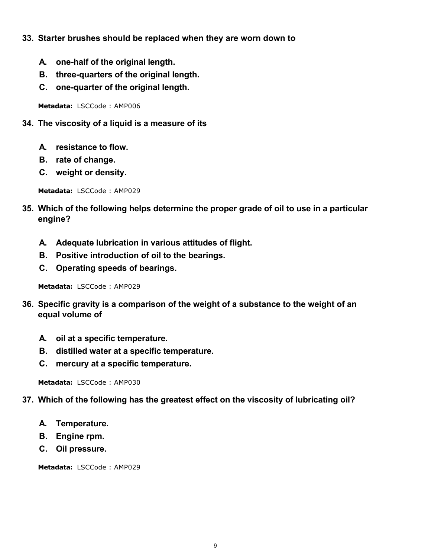- **33. Starter brushes should be replaced when they are worn down to**
	- **A. one-half of the original length.**
	- **B. three-quarters of the original length.**
	- **C. one-quarter of the original length.**

- **34. The viscosity of a liquid is a measure of its**
	- **A. resistance to flow.**
	- **B. rate of change.**
	- **C. weight or density.**

**Metadata:** LSCCode : AMP029

- **35. Which of the following helps determine the proper grade of oil to use in a particular engine?**
	- **A. Adequate lubrication in various attitudes of flight.**
	- **B. Positive introduction of oil to the bearings.**
	- **C. Operating speeds of bearings.**

**Metadata:** LSCCode : AMP029

- **36. Specific gravity is a comparison of the weight of a substance to the weight of an equal volume of**
	- **A. oil at a specific temperature.**
	- **B. distilled water at a specific temperature.**
	- **C. mercury at a specific temperature.**

**Metadata:** LSCCode : AMP030

- **37. Which of the following has the greatest effect on the viscosity of lubricating oil?**
	- **A. Temperature.**
	- **B. Engine rpm.**
	- **C. Oil pressure.**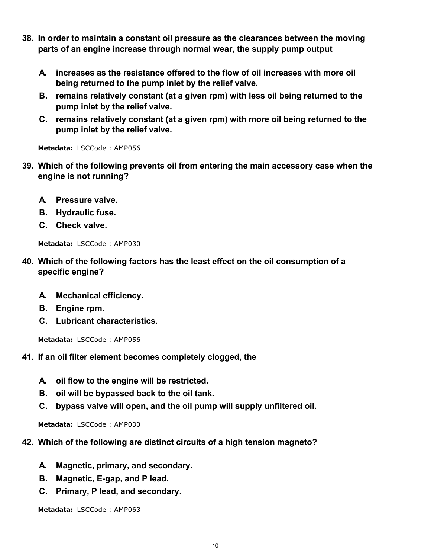- **38. In order to maintain a constant oil pressure as the clearances between the moving parts of an engine increase through normal wear, the supply pump output**
	- **A. increases as the resistance offered to the flow of oil increases with more oil being returned to the pump inlet by the relief valve.**
	- **B. remains relatively constant (at a given rpm) with less oil being returned to the pump inlet by the relief valve.**
	- **C. remains relatively constant (at a given rpm) with more oil being returned to the pump inlet by the relief valve.**

- **39. Which of the following prevents oil from entering the main accessory case when the engine is not running?**
	- **A. Pressure valve.**
	- **B. Hydraulic fuse.**
	- **C. Check valve.**

**Metadata:** LSCCode : AMP030

- **40. Which of the following factors has the least effect on the oil consumption of a specific engine?**
	- **A. Mechanical efficiency.**
	- **B. Engine rpm.**
	- **C. Lubricant characteristics.**

**Metadata:** LSCCode : AMP056

- **41. If an oil filter element becomes completely clogged, the**
	- **A. oil flow to the engine will be restricted.**
	- **B. oil will be bypassed back to the oil tank.**
	- **C. bypass valve will open, and the oil pump will supply unfiltered oil.**

**Metadata:** LSCCode : AMP030

- **42. Which of the following are distinct circuits of a high tension magneto?**
	- **A. Magnetic, primary, and secondary.**
	- **B. Magnetic, E-gap, and P lead.**
	- **C. Primary, P lead, and secondary.**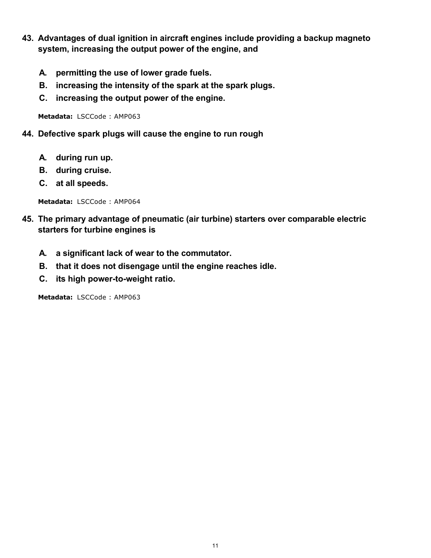- **43. Advantages of dual ignition in aircraft engines include providing a backup magneto system, increasing the output power of the engine, and**
	- **A. permitting the use of lower grade fuels.**
	- **B. increasing the intensity of the spark at the spark plugs.**
	- **C. increasing the output power of the engine.**

**44. Defective spark plugs will cause the engine to run rough**

- **A. during run up.**
- **B. during cruise.**
- **C. at all speeds.**

**Metadata:** LSCCode : AMP064

- **45. The primary advantage of pneumatic (air turbine) starters over comparable electric starters for turbine engines is**
	- **A. a significant lack of wear to the commutator.**
	- **B. that it does not disengage until the engine reaches idle.**
	- **C. its high power-to-weight ratio.**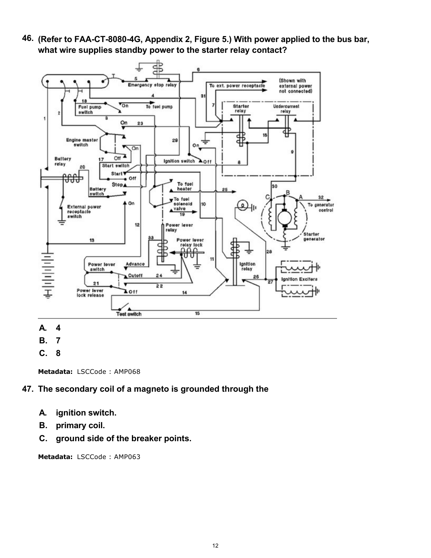**46. (Refer to FAA-CT-8080-4G, Appendix 2, Figure 5.) With power applied to the bus bar, what wire supplies standby power to the starter relay contact?**



- **A. 4**
- **B. 7**
- **C. 8**

**Metadata:** LSCCode : AMP068

## **47. The secondary coil of a magneto is grounded through the**

- **A. ignition switch.**
- **B. primary coil.**
- **C. ground side of the breaker points.**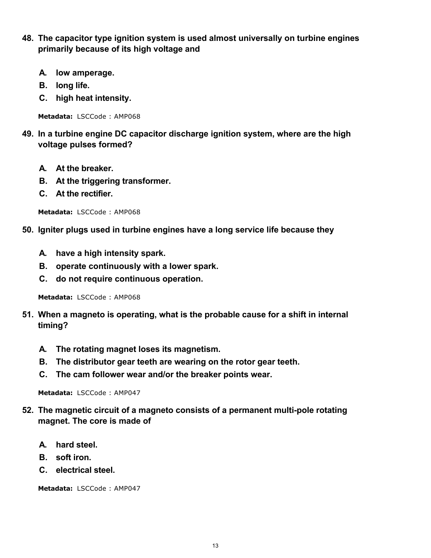- **48. The capacitor type ignition system is used almost universally on turbine engines primarily because of its high voltage and**
	- **A. low amperage.**
	- **B. long life.**
	- **C. high heat intensity.**

- **49. In a turbine engine DC capacitor discharge ignition system, where are the high voltage pulses formed?**
	- **A. At the breaker.**
	- **B. At the triggering transformer.**
	- **C. At the rectifier.**

**Metadata:** LSCCode : AMP068

#### **50. Igniter plugs used in turbine engines have a long service life because they**

- **A. have a high intensity spark.**
- **B. operate continuously with a lower spark.**
- **C. do not require continuous operation.**

**Metadata:** LSCCode : AMP068

- **51. When a magneto is operating, what is the probable cause for a shift in internal timing?**
	- **A. The rotating magnet loses its magnetism.**
	- **B. The distributor gear teeth are wearing on the rotor gear teeth.**
	- **C. The cam follower wear and/or the breaker points wear.**

**Metadata:** LSCCode : AMP047

- **52. The magnetic circuit of a magneto consists of a permanent multi-pole rotating magnet. The core is made of**
	- **A. hard steel.**
	- **B. soft iron.**
	- **C. electrical steel.**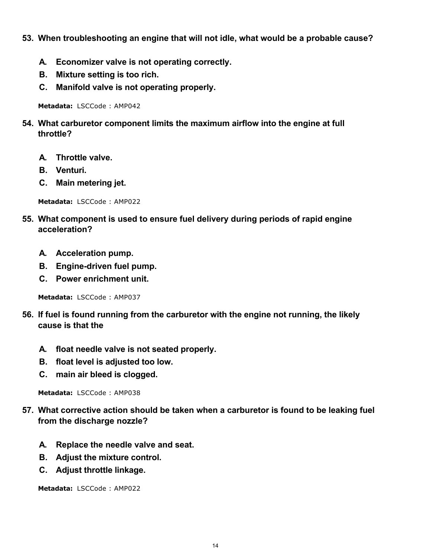- **53. When troubleshooting an engine that will not idle, what would be a probable cause?**
	- **A. Economizer valve is not operating correctly.**
	- **B. Mixture setting is too rich.**
	- **C. Manifold valve is not operating properly.**

- **54. What carburetor component limits the maximum airflow into the engine at full throttle?**
	- **A. Throttle valve.**
	- **B. Venturi.**
	- **C. Main metering jet.**

**Metadata:** LSCCode : AMP022

- **55. What component is used to ensure fuel delivery during periods of rapid engine acceleration?**
	- **A. Acceleration pump.**
	- **B. Engine-driven fuel pump.**
	- **C. Power enrichment unit.**

**Metadata:** LSCCode : AMP037

- **56. If fuel is found running from the carburetor with the engine not running, the likely cause is that the**
	- **A. float needle valve is not seated properly.**
	- **B. float level is adjusted too low.**
	- **C. main air bleed is clogged.**

**Metadata:** LSCCode : AMP038

- **57. What corrective action should be taken when a carburetor is found to be leaking fuel from the discharge nozzle?**
	- **A. Replace the needle valve and seat.**
	- **B. Adjust the mixture control.**
	- **C. Adjust throttle linkage.**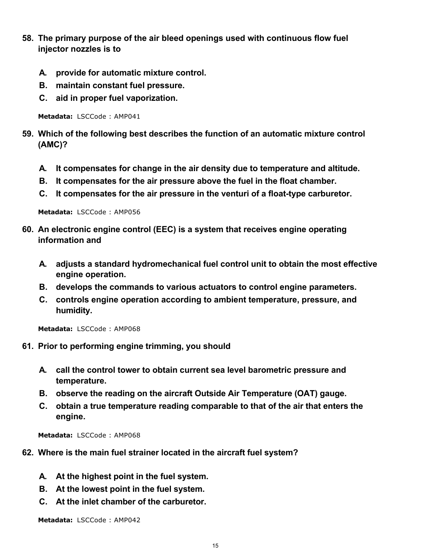- **58. The primary purpose of the air bleed openings used with continuous flow fuel injector nozzles is to**
	- **A. provide for automatic mixture control.**
	- **B. maintain constant fuel pressure.**
	- **C. aid in proper fuel vaporization.**

- **59. Which of the following best describes the function of an automatic mixture control (AMC)?**
	- **A. It compensates for change in the air density due to temperature and altitude.**
	- **B. It compensates for the air pressure above the fuel in the float chamber.**
	- **C. It compensates for the air pressure in the venturi of a float-type carburetor.**

**Metadata:** LSCCode : AMP056

- **60. An electronic engine control (EEC) is a system that receives engine operating information and**
	- **A. adjusts a standard hydromechanical fuel control unit to obtain the most effective engine operation.**
	- **B. develops the commands to various actuators to control engine parameters.**
	- **C. controls engine operation according to ambient temperature, pressure, and humidity.**

**Metadata:** LSCCode : AMP068

- **61. Prior to performing engine trimming, you should**
	- **A. call the control tower to obtain current sea level barometric pressure and temperature.**
	- **B. observe the reading on the aircraft Outside Air Temperature (OAT) gauge.**
	- **C. obtain a true temperature reading comparable to that of the air that enters the engine.**

**Metadata:** LSCCode : AMP068

- **62. Where is the main fuel strainer located in the aircraft fuel system?**
	- **A. At the highest point in the fuel system.**
	- **B. At the lowest point in the fuel system.**
	- **C. At the inlet chamber of the carburetor.**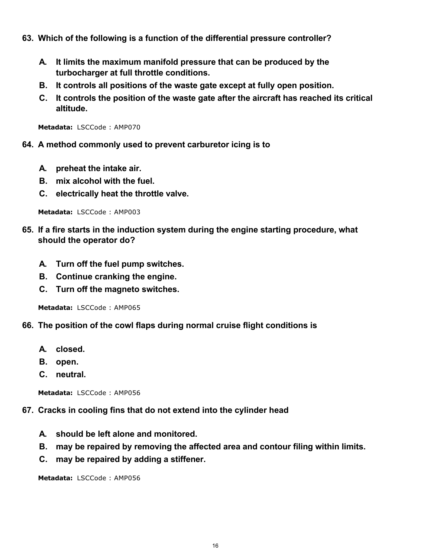- **63. Which of the following is a function of the differential pressure controller?**
	- **A. It limits the maximum manifold pressure that can be produced by the turbocharger at full throttle conditions.**
	- **B. It controls all positions of the waste gate except at fully open position.**
	- **C. It controls the position of the waste gate after the aircraft has reached its critical altitude.**

- **64. A method commonly used to prevent carburetor icing is to**
	- **A. preheat the intake air.**
	- **B. mix alcohol with the fuel.**
	- **C. electrically heat the throttle valve.**

**Metadata:** LSCCode : AMP003

- **65. If a fire starts in the induction system during the engine starting procedure, what should the operator do?**
	- **A. Turn off the fuel pump switches.**
	- **B. Continue cranking the engine.**
	- **C. Turn off the magneto switches.**

**Metadata:** LSCCode : AMP065

- **66. The position of the cowl flaps during normal cruise flight conditions is**
	- **A. closed.**
	- **B. open.**
	- **C. neutral.**

**Metadata:** LSCCode : AMP056

#### **67. Cracks in cooling fins that do not extend into the cylinder head**

- **A. should be left alone and monitored.**
- **B. may be repaired by removing the affected area and contour filing within limits.**
- **C. may be repaired by adding a stiffener.**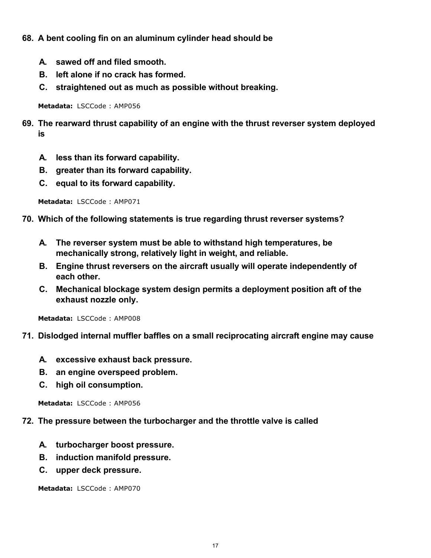- **68. A bent cooling fin on an aluminum cylinder head should be**
	- **A. sawed off and filed smooth.**
	- **B. left alone if no crack has formed.**
	- **C. straightened out as much as possible without breaking.**

- **69. The rearward thrust capability of an engine with the thrust reverser system deployed is**
	- **A. less than its forward capability.**
	- **B. greater than its forward capability.**
	- **C. equal to its forward capability.**

**Metadata:** LSCCode : AMP071

- **70. Which of the following statements is true regarding thrust reverser systems?**
	- **A. The reverser system must be able to withstand high temperatures, be mechanically strong, relatively light in weight, and reliable.**
	- **B. Engine thrust reversers on the aircraft usually will operate independently of each other.**
	- **C. Mechanical blockage system design permits a deployment position aft of the exhaust nozzle only.**

**Metadata:** LSCCode : AMP008

#### **71. Dislodged internal muffler baffles on a small reciprocating aircraft engine may cause**

- **A. excessive exhaust back pressure.**
- **B. an engine overspeed problem.**
- **C. high oil consumption.**

**Metadata:** LSCCode : AMP056

#### **72. The pressure between the turbocharger and the throttle valve is called**

- **A. turbocharger boost pressure.**
- **B. induction manifold pressure.**
- **C. upper deck pressure.**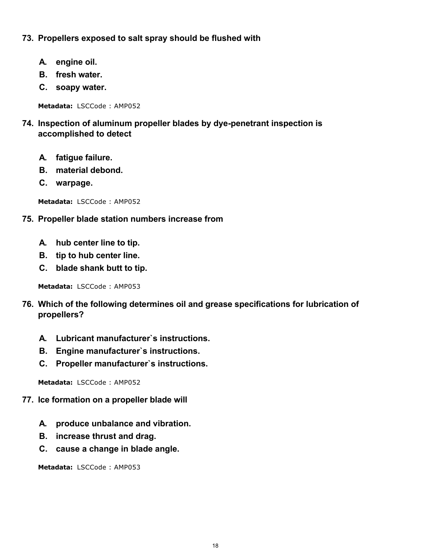## **73. Propellers exposed to salt spray should be flushed with**

- **A. engine oil.**
- **B. fresh water.**
- **C. soapy water.**

**Metadata:** LSCCode : AMP052

- **74. Inspection of aluminum propeller blades by dye-penetrant inspection is accomplished to detect**
	- **A. fatigue failure.**
	- **B. material debond.**
	- **C. warpage.**

**Metadata:** LSCCode : AMP052

## **75. Propeller blade station numbers increase from**

- **A. hub center line to tip.**
- **B. tip to hub center line.**
- **C. blade shank butt to tip.**

**Metadata:** LSCCode : AMP053

- **76. Which of the following determines oil and grease specifications for lubrication of propellers?**
	- **A. Lubricant manufacturer`s instructions.**
	- **B. Engine manufacturer`s instructions.**
	- **C. Propeller manufacturer`s instructions.**

**Metadata:** LSCCode : AMP052

- **77. Ice formation on a propeller blade will**
	- **A. produce unbalance and vibration.**
	- **B. increase thrust and drag.**
	- **C. cause a change in blade angle.**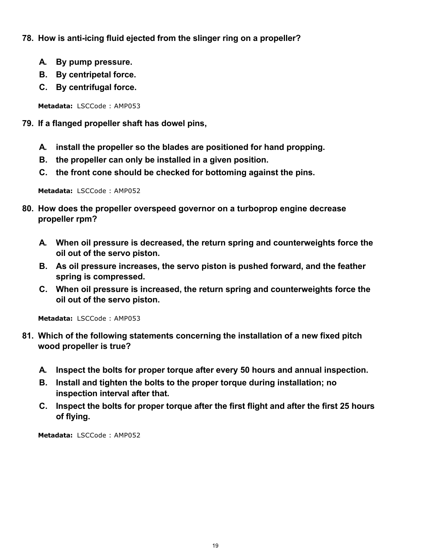- **78. How is anti-icing fluid ejected from the slinger ring on a propeller?**
	- **A. By pump pressure.**
	- **B. By centripetal force.**
	- **C. By centrifugal force.**

- **79. If a flanged propeller shaft has dowel pins,**
	- **A. install the propeller so the blades are positioned for hand propping.**
	- **B. the propeller can only be installed in a given position.**
	- **C. the front cone should be checked for bottoming against the pins.**

**Metadata:** LSCCode : AMP052

- **80. How does the propeller overspeed governor on a turboprop engine decrease propeller rpm?**
	- **A. When oil pressure is decreased, the return spring and counterweights force the oil out of the servo piston.**
	- **B. As oil pressure increases, the servo piston is pushed forward, and the feather spring is compressed.**
	- **C. When oil pressure is increased, the return spring and counterweights force the oil out of the servo piston.**

**Metadata:** LSCCode : AMP053

- **81. Which of the following statements concerning the installation of a new fixed pitch wood propeller is true?**
	- **A. Inspect the bolts for proper torque after every 50 hours and annual inspection.**
	- **B. Install and tighten the bolts to the proper torque during installation; no inspection interval after that.**
	- **C. Inspect the bolts for proper torque after the first flight and after the first 25 hours of flying.**